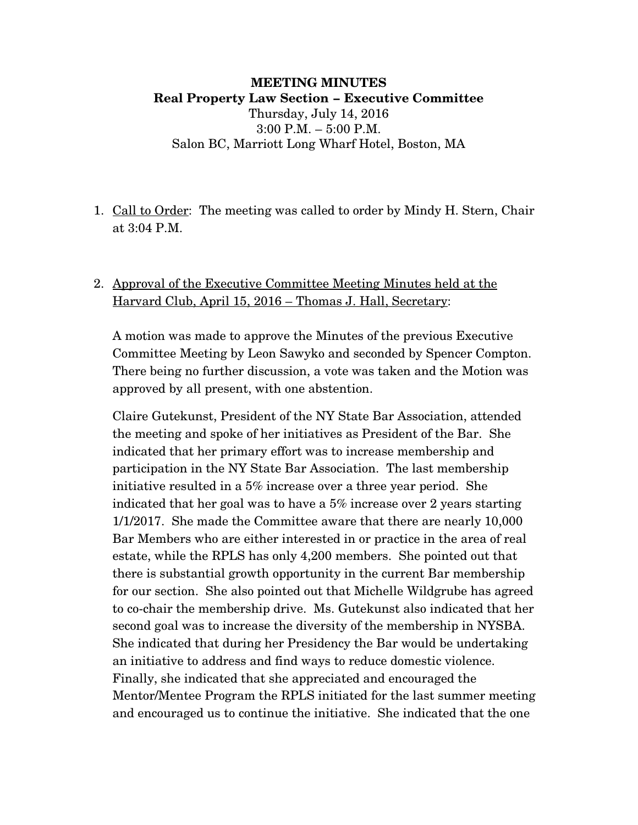#### **MEETING MINUTES Real Property Law Section – Executive Committee** Thursday, July 14, 2016 3:00 P.M. – 5:00 P.M. Salon BC, Marriott Long Wharf Hotel, Boston, MA

1. Call to Order: The meeting was called to order by Mindy H. Stern, Chair at 3:04 P.M.

### 2. Approval of the Executive Committee Meeting Minutes held at the Harvard Club, April 15, 2016 – Thomas J. Hall, Secretary:

A motion was made to approve the Minutes of the previous Executive Committee Meeting by Leon Sawyko and seconded by Spencer Compton. There being no further discussion, a vote was taken and the Motion was approved by all present, with one abstention.

Claire Gutekunst, President of the NY State Bar Association, attended the meeting and spoke of her initiatives as President of the Bar. She indicated that her primary effort was to increase membership and participation in the NY State Bar Association. The last membership initiative resulted in a 5% increase over a three year period. She indicated that her goal was to have a 5% increase over 2 years starting 1/1/2017. She made the Committee aware that there are nearly 10,000 Bar Members who are either interested in or practice in the area of real estate, while the RPLS has only 4,200 members. She pointed out that there is substantial growth opportunity in the current Bar membership for our section. She also pointed out that Michelle Wildgrube has agreed to co-chair the membership drive. Ms. Gutekunst also indicated that her second goal was to increase the diversity of the membership in NYSBA. She indicated that during her Presidency the Bar would be undertaking an initiative to address and find ways to reduce domestic violence. Finally, she indicated that she appreciated and encouraged the Mentor/Mentee Program the RPLS initiated for the last summer meeting and encouraged us to continue the initiative. She indicated that the one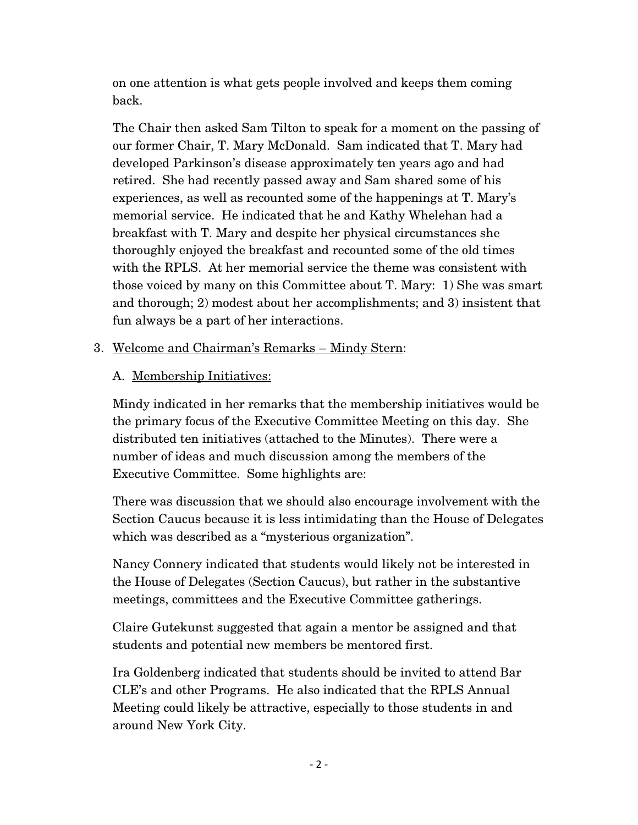on one attention is what gets people involved and keeps them coming back.

The Chair then asked Sam Tilton to speak for a moment on the passing of our former Chair, T. Mary McDonald. Sam indicated that T. Mary had developed Parkinson's disease approximately ten years ago and had retired. She had recently passed away and Sam shared some of his experiences, as well as recounted some of the happenings at T. Mary's memorial service. He indicated that he and Kathy Whelehan had a breakfast with T. Mary and despite her physical circumstances she thoroughly enjoyed the breakfast and recounted some of the old times with the RPLS. At her memorial service the theme was consistent with those voiced by many on this Committee about T. Mary: 1) She was smart and thorough; 2) modest about her accomplishments; and 3) insistent that fun always be a part of her interactions.

## 3. Welcome and Chairman's Remarks – Mindy Stern:

# A. Membership Initiatives:

Mindy indicated in her remarks that the membership initiatives would be the primary focus of the Executive Committee Meeting on this day. She distributed ten initiatives (attached to the Minutes). There were a number of ideas and much discussion among the members of the Executive Committee. Some highlights are:

There was discussion that we should also encourage involvement with the Section Caucus because it is less intimidating than the House of Delegates which was described as a "mysterious organization".

Nancy Connery indicated that students would likely not be interested in the House of Delegates (Section Caucus), but rather in the substantive meetings, committees and the Executive Committee gatherings.

Claire Gutekunst suggested that again a mentor be assigned and that students and potential new members be mentored first.

Ira Goldenberg indicated that students should be invited to attend Bar CLE's and other Programs. He also indicated that the RPLS Annual Meeting could likely be attractive, especially to those students in and around New York City.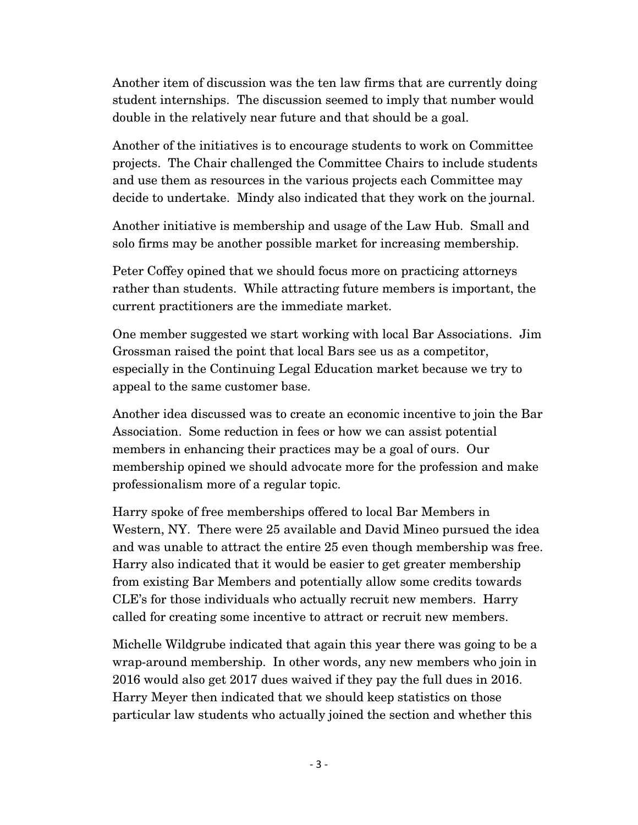Another item of discussion was the ten law firms that are currently doing student internships. The discussion seemed to imply that number would double in the relatively near future and that should be a goal.

Another of the initiatives is to encourage students to work on Committee projects. The Chair challenged the Committee Chairs to include students and use them as resources in the various projects each Committee may decide to undertake. Mindy also indicated that they work on the journal.

Another initiative is membership and usage of the Law Hub. Small and solo firms may be another possible market for increasing membership.

Peter Coffey opined that we should focus more on practicing attorneys rather than students. While attracting future members is important, the current practitioners are the immediate market.

One member suggested we start working with local Bar Associations. Jim Grossman raised the point that local Bars see us as a competitor, especially in the Continuing Legal Education market because we try to appeal to the same customer base.

Another idea discussed was to create an economic incentive to join the Bar Association. Some reduction in fees or how we can assist potential members in enhancing their practices may be a goal of ours. Our membership opined we should advocate more for the profession and make professionalism more of a regular topic.

Harry spoke of free memberships offered to local Bar Members in Western, NY. There were 25 available and David Mineo pursued the idea and was unable to attract the entire 25 even though membership was free. Harry also indicated that it would be easier to get greater membership from existing Bar Members and potentially allow some credits towards CLE's for those individuals who actually recruit new members. Harry called for creating some incentive to attract or recruit new members.

Michelle Wildgrube indicated that again this year there was going to be a wrap-around membership. In other words, any new members who join in 2016 would also get 2017 dues waived if they pay the full dues in 2016. Harry Meyer then indicated that we should keep statistics on those particular law students who actually joined the section and whether this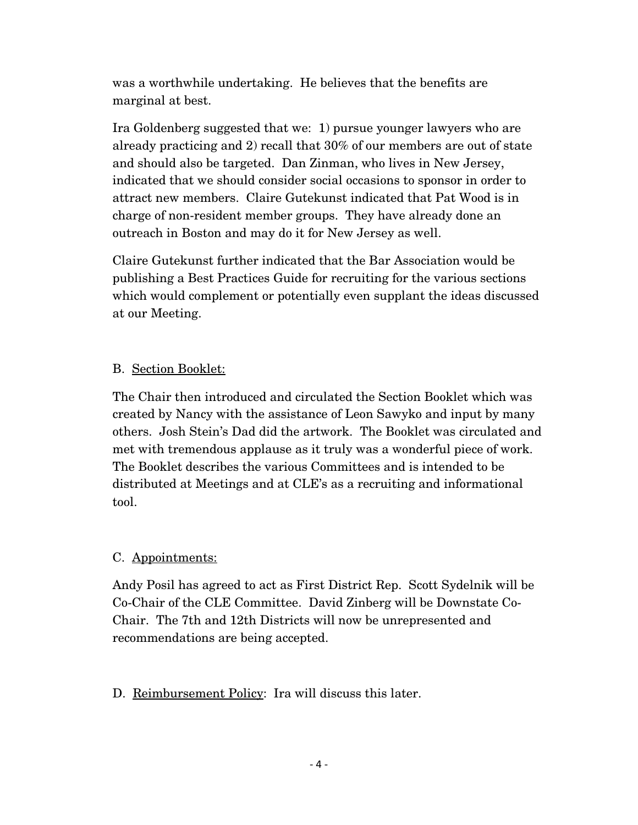was a worthwhile undertaking. He believes that the benefits are marginal at best.

Ira Goldenberg suggested that we: 1) pursue younger lawyers who are already practicing and 2) recall that 30% of our members are out of state and should also be targeted. Dan Zinman, who lives in New Jersey, indicated that we should consider social occasions to sponsor in order to attract new members. Claire Gutekunst indicated that Pat Wood is in charge of non-resident member groups. They have already done an outreach in Boston and may do it for New Jersey as well.

Claire Gutekunst further indicated that the Bar Association would be publishing a Best Practices Guide for recruiting for the various sections which would complement or potentially even supplant the ideas discussed at our Meeting.

## B. Section Booklet:

The Chair then introduced and circulated the Section Booklet which was created by Nancy with the assistance of Leon Sawyko and input by many others. Josh Stein's Dad did the artwork. The Booklet was circulated and met with tremendous applause as it truly was a wonderful piece of work. The Booklet describes the various Committees and is intended to be distributed at Meetings and at CLE's as a recruiting and informational tool.

## C. Appointments:

Andy Posil has agreed to act as First District Rep. Scott Sydelnik will be Co-Chair of the CLE Committee. David Zinberg will be Downstate Co-Chair. The 7th and 12th Districts will now be unrepresented and recommendations are being accepted.

## D. Reimbursement Policy: Ira will discuss this later.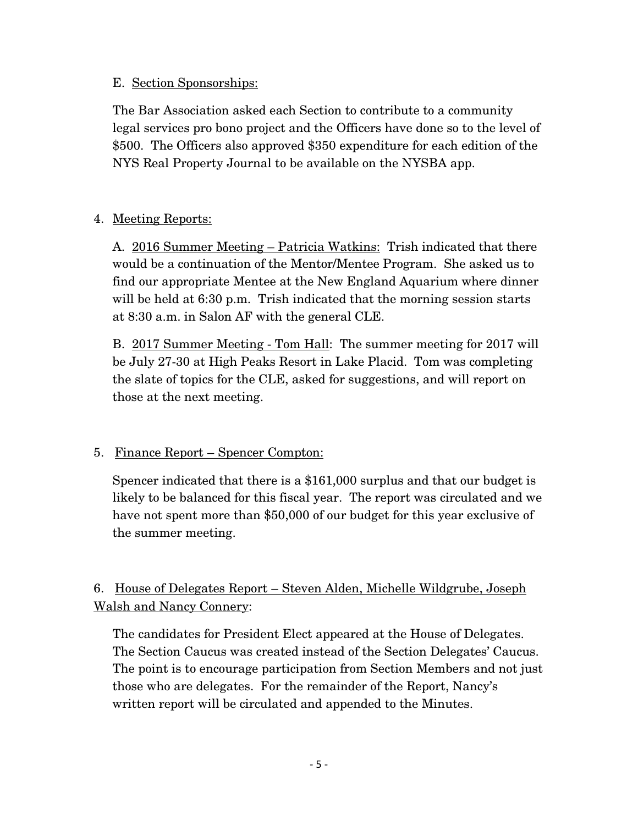#### E. Section Sponsorships:

The Bar Association asked each Section to contribute to a community legal services pro bono project and the Officers have done so to the level of \$500. The Officers also approved \$350 expenditure for each edition of the NYS Real Property Journal to be available on the NYSBA app.

## 4. Meeting Reports:

A. 2016 Summer Meeting – Patricia Watkins: Trish indicated that there would be a continuation of the Mentor/Mentee Program. She asked us to find our appropriate Mentee at the New England Aquarium where dinner will be held at 6:30 p.m. Trish indicated that the morning session starts at 8:30 a.m. in Salon AF with the general CLE.

B. 2017 Summer Meeting - Tom Hall: The summer meeting for 2017 will be July 27-30 at High Peaks Resort in Lake Placid. Tom was completing the slate of topics for the CLE, asked for suggestions, and will report on those at the next meeting.

## 5. Finance Report – Spencer Compton:

Spencer indicated that there is a \$161,000 surplus and that our budget is likely to be balanced for this fiscal year. The report was circulated and we have not spent more than \$50,000 of our budget for this year exclusive of the summer meeting.

# 6. House of Delegates Report – Steven Alden, Michelle Wildgrube, Joseph Walsh and Nancy Connery:

The candidates for President Elect appeared at the House of Delegates. The Section Caucus was created instead of the Section Delegates' Caucus. The point is to encourage participation from Section Members and not just those who are delegates. For the remainder of the Report, Nancy's written report will be circulated and appended to the Minutes.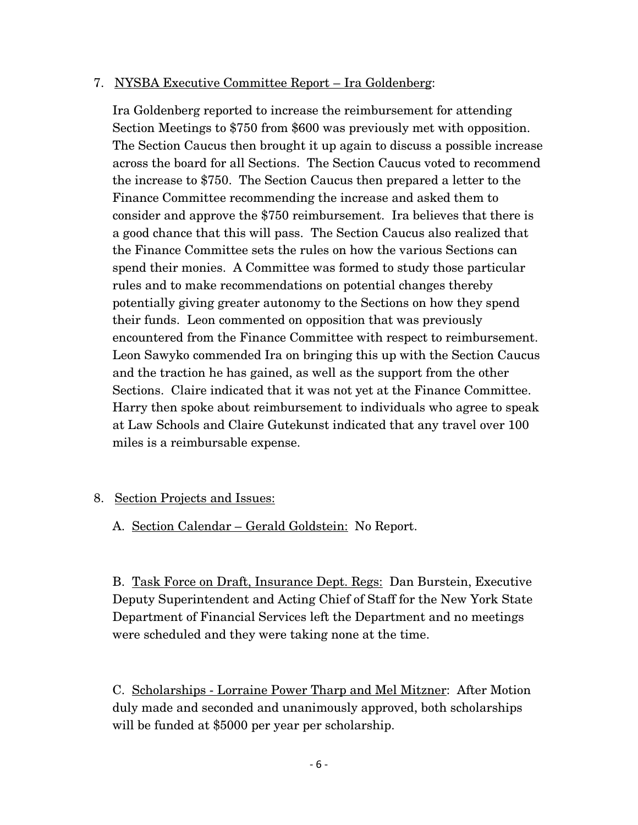#### 7. NYSBA Executive Committee Report – Ira Goldenberg:

Ira Goldenberg reported to increase the reimbursement for attending Section Meetings to \$750 from \$600 was previously met with opposition. The Section Caucus then brought it up again to discuss a possible increase across the board for all Sections. The Section Caucus voted to recommend the increase to \$750. The Section Caucus then prepared a letter to the Finance Committee recommending the increase and asked them to consider and approve the \$750 reimbursement. Ira believes that there is a good chance that this will pass. The Section Caucus also realized that the Finance Committee sets the rules on how the various Sections can spend their monies. A Committee was formed to study those particular rules and to make recommendations on potential changes thereby potentially giving greater autonomy to the Sections on how they spend their funds. Leon commented on opposition that was previously encountered from the Finance Committee with respect to reimbursement. Leon Sawyko commended Ira on bringing this up with the Section Caucus and the traction he has gained, as well as the support from the other Sections. Claire indicated that it was not yet at the Finance Committee. Harry then spoke about reimbursement to individuals who agree to speak at Law Schools and Claire Gutekunst indicated that any travel over 100 miles is a reimbursable expense.

#### 8. Section Projects and Issues:

A. Section Calendar – Gerald Goldstein: No Report.

B. Task Force on Draft, Insurance Dept. Regs: Dan Burstein, Executive Deputy Superintendent and Acting Chief of Staff for the New York State Department of Financial Services left the Department and no meetings were scheduled and they were taking none at the time.

C. Scholarships - Lorraine Power Tharp and Mel Mitzner: After Motion duly made and seconded and unanimously approved, both scholarships will be funded at \$5000 per year per scholarship.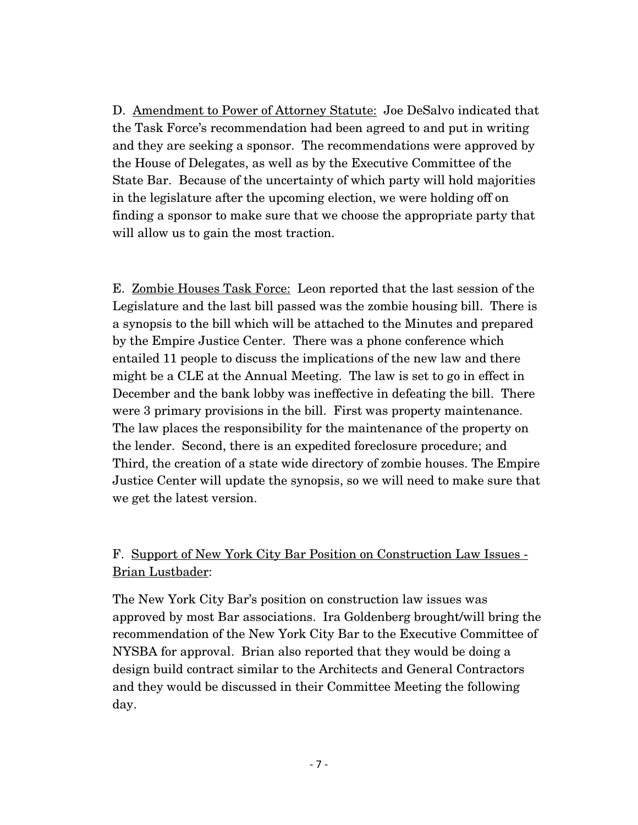D. Amendment to Power of Attorney Statute: Joe DeSalvo indicated that the Task Force's recommendation had been agreed to and put in writing and they are seeking a sponsor. The recommendations were approved by the House of Delegates, as well as by the Executive Committee of the State Bar. Because of the uncertainty of which party will hold majorities in the legislature after the upcoming election, we were holding off on finding a sponsor to make sure that we choose the appropriate party that will allow us to gain the most traction.

E. Zombie Houses Task Force: Leon reported that the last session of the Legislature and the last bill passed was the zombie housing bill. There is a synopsis to the bill which will be attached to the Minutes and prepared by the Empire Justice Center. There was a phone conference which entailed 11 people to discuss the implications of the new law and there might be a CLE at the Annual Meeting. The law is set to go in effect in December and the bank lobby was ineffective in defeating the bill. There were 3 primary provisions in the bill. First was property maintenance. The law places the responsibility for the maintenance of the property on the lender. Second, there is an expedited foreclosure procedure; and Third, the creation of a state wide directory of zombie houses. The Empire Justice Center will update the synopsis, so we will need to make sure that we get the latest version.

## F. Support of New York City Bar Position on Construction Law Issues - Brian Lustbader:

The New York City Bar's position on construction law issues was approved by most Bar associations. Ira Goldenberg brought/will bring the recommendation of the New York City Bar to the Executive Committee of NYSBA for approval. Brian also reported that they would be doing a design build contract similar to the Architects and General Contractors and they would be discussed in their Committee Meeting the following day.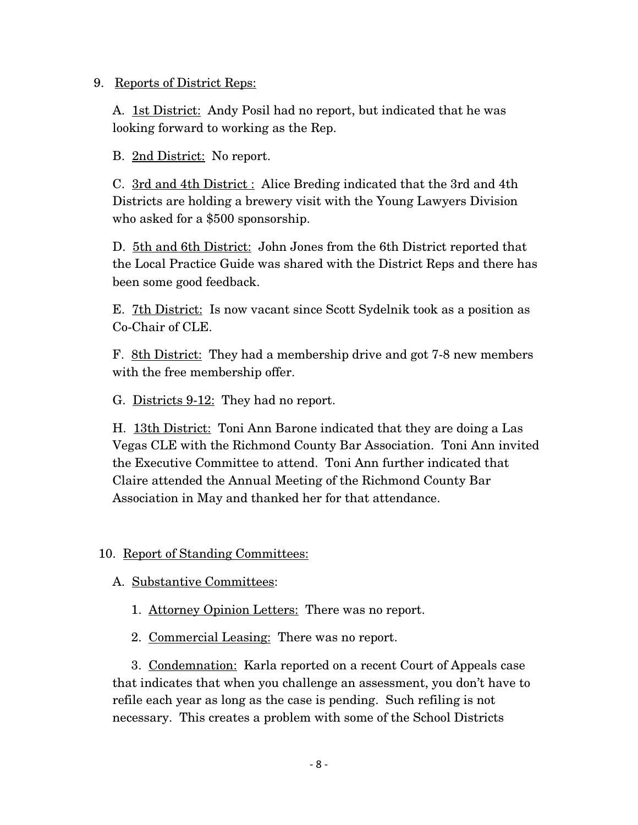#### 9. Reports of District Reps:

A. 1st District: Andy Posil had no report, but indicated that he was looking forward to working as the Rep.

B. 2nd District: No report.

C. 3rd and 4th District : Alice Breding indicated that the 3rd and 4th Districts are holding a brewery visit with the Young Lawyers Division who asked for a \$500 sponsorship.

D. 5th and 6th District: John Jones from the 6th District reported that the Local Practice Guide was shared with the District Reps and there has been some good feedback.

E. 7th District: Is now vacant since Scott Sydelnik took as a position as Co-Chair of CLE.

F. 8th District: They had a membership drive and got 7-8 new members with the free membership offer.

G. Districts 9-12: They had no report.

H. 13th District: Toni Ann Barone indicated that they are doing a Las Vegas CLE with the Richmond County Bar Association. Toni Ann invited the Executive Committee to attend. Toni Ann further indicated that Claire attended the Annual Meeting of the Richmond County Bar Association in May and thanked her for that attendance.

#### 10. Report of Standing Committees:

A. Substantive Committees:

- 1. Attorney Opinion Letters: There was no report.
- 2. Commercial Leasing: There was no report.

3. Condemnation: Karla reported on a recent Court of Appeals case that indicates that when you challenge an assessment, you don't have to refile each year as long as the case is pending. Such refiling is not necessary. This creates a problem with some of the School Districts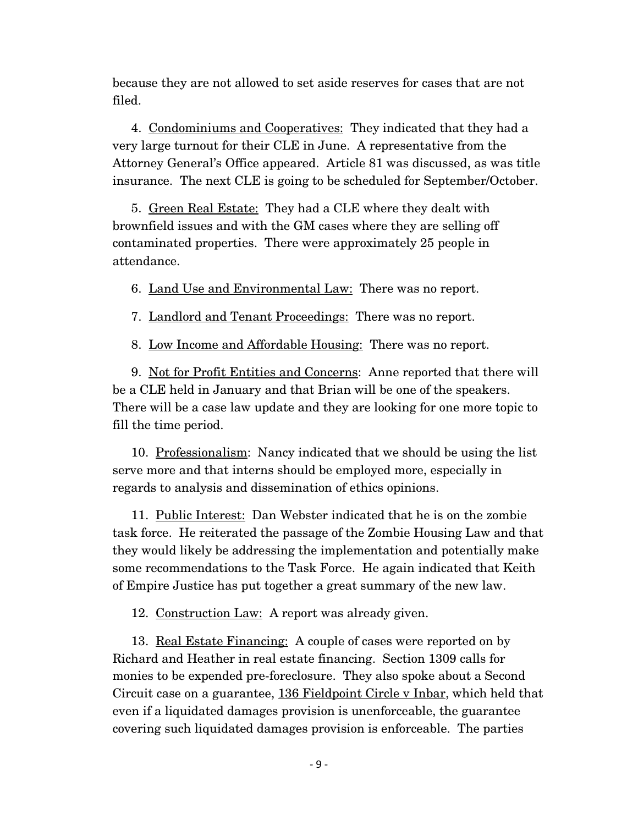because they are not allowed to set aside reserves for cases that are not filed.

4. Condominiums and Cooperatives: They indicated that they had a very large turnout for their CLE in June. A representative from the Attorney General's Office appeared. Article 81 was discussed, as was title insurance. The next CLE is going to be scheduled for September/October.

5. Green Real Estate: They had a CLE where they dealt with brownfield issues and with the GM cases where they are selling off contaminated properties. There were approximately 25 people in attendance.

6. Land Use and Environmental Law: There was no report.

7. Landlord and Tenant Proceedings: There was no report.

8. Low Income and Affordable Housing: There was no report.

9. Not for Profit Entities and Concerns: Anne reported that there will be a CLE held in January and that Brian will be one of the speakers. There will be a case law update and they are looking for one more topic to fill the time period.

10. Professionalism: Nancy indicated that we should be using the list serve more and that interns should be employed more, especially in regards to analysis and dissemination of ethics opinions.

11. Public Interest: Dan Webster indicated that he is on the zombie task force. He reiterated the passage of the Zombie Housing Law and that they would likely be addressing the implementation and potentially make some recommendations to the Task Force. He again indicated that Keith of Empire Justice has put together a great summary of the new law.

12. Construction Law: A report was already given.

13. Real Estate Financing: A couple of cases were reported on by Richard and Heather in real estate financing. Section 1309 calls for monies to be expended pre-foreclosure. They also spoke about a Second Circuit case on a guarantee, 136 Fieldpoint Circle v Inbar, which held that even if a liquidated damages provision is unenforceable, the guarantee covering such liquidated damages provision is enforceable. The parties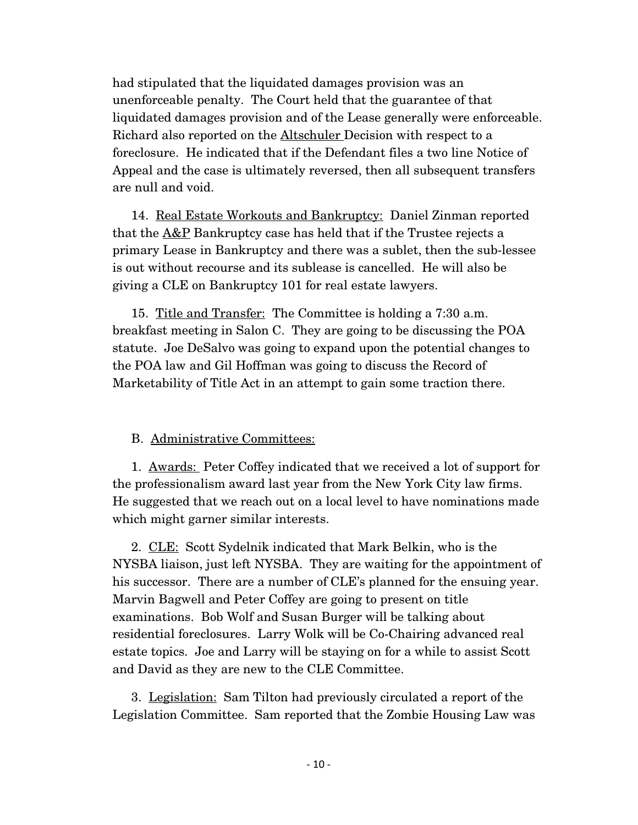had stipulated that the liquidated damages provision was an unenforceable penalty. The Court held that the guarantee of that liquidated damages provision and of the Lease generally were enforceable. Richard also reported on the Altschuler Decision with respect to a foreclosure. He indicated that if the Defendant files a two line Notice of Appeal and the case is ultimately reversed, then all subsequent transfers are null and void.

14. Real Estate Workouts and Bankruptcy: Daniel Zinman reported that the **A&P** Bankruptcy case has held that if the Trustee rejects a primary Lease in Bankruptcy and there was a sublet, then the sub-lessee is out without recourse and its sublease is cancelled. He will also be giving a CLE on Bankruptcy 101 for real estate lawyers.

15. Title and Transfer: The Committee is holding a 7:30 a.m. breakfast meeting in Salon C. They are going to be discussing the POA statute. Joe DeSalvo was going to expand upon the potential changes to the POA law and Gil Hoffman was going to discuss the Record of Marketability of Title Act in an attempt to gain some traction there.

#### B. Administrative Committees:

1. Awards: Peter Coffey indicated that we received a lot of support for the professionalism award last year from the New York City law firms. He suggested that we reach out on a local level to have nominations made which might garner similar interests.

2. CLE: Scott Sydelnik indicated that Mark Belkin, who is the NYSBA liaison, just left NYSBA. They are waiting for the appointment of his successor. There are a number of CLE's planned for the ensuing year. Marvin Bagwell and Peter Coffey are going to present on title examinations. Bob Wolf and Susan Burger will be talking about residential foreclosures. Larry Wolk will be Co-Chairing advanced real estate topics. Joe and Larry will be staying on for a while to assist Scott and David as they are new to the CLE Committee.

3. Legislation: Sam Tilton had previously circulated a report of the Legislation Committee. Sam reported that the Zombie Housing Law was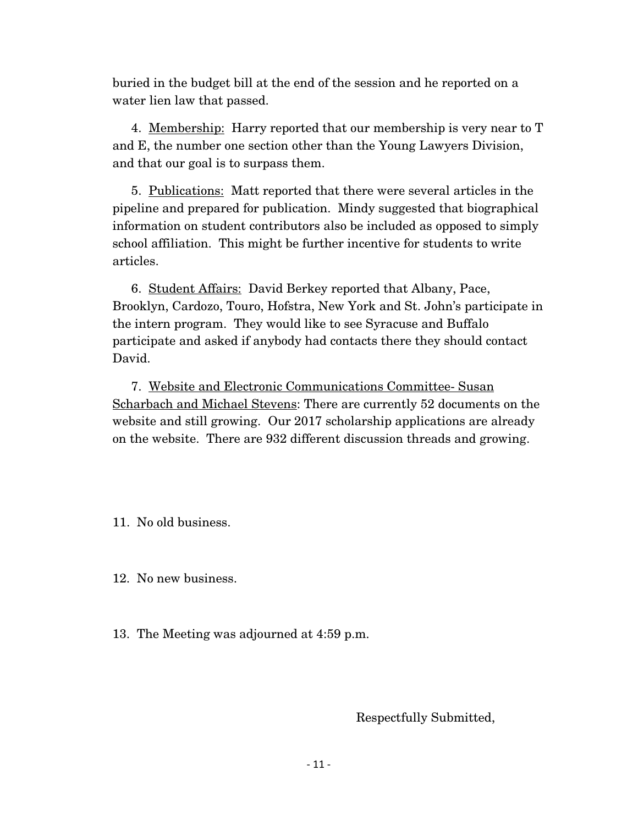buried in the budget bill at the end of the session and he reported on a water lien law that passed.

4. Membership: Harry reported that our membership is very near to T and E, the number one section other than the Young Lawyers Division, and that our goal is to surpass them.

5. Publications: Matt reported that there were several articles in the pipeline and prepared for publication. Mindy suggested that biographical information on student contributors also be included as opposed to simply school affiliation. This might be further incentive for students to write articles.

6. Student Affairs: David Berkey reported that Albany, Pace, Brooklyn, Cardozo, Touro, Hofstra, New York and St. John's participate in the intern program. They would like to see Syracuse and Buffalo participate and asked if anybody had contacts there they should contact David.

7. Website and Electronic Communications Committee- Susan Scharbach and Michael Stevens: There are currently 52 documents on the website and still growing. Our 2017 scholarship applications are already on the website. There are 932 different discussion threads and growing.

11. No old business.

12. No new business.

13. The Meeting was adjourned at 4:59 p.m.

Respectfully Submitted,